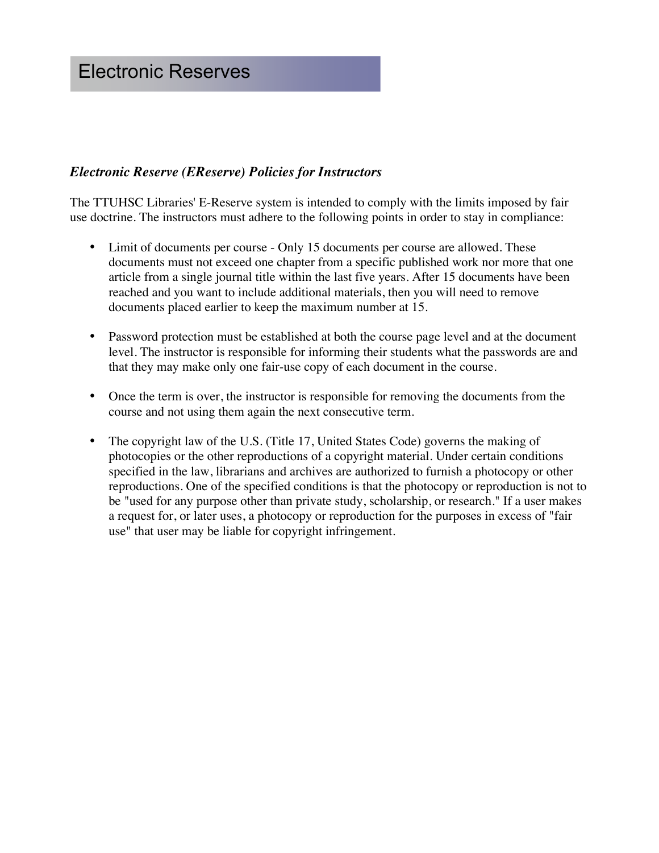# Electronic Reserves

#### *Electronic Reserve (EReserve) Policies for Instructors*

The TTUHSC Libraries' E-Reserve system is intended to comply with the limits imposed by fair use doctrine. The instructors must adhere to the following points in order to stay in compliance:

- Limit of documents per course Only 15 documents per course are allowed. These documents must not exceed one chapter from a specific published work nor more that one article from a single journal title within the last five years. After 15 documents have been reached and you want to include additional materials, then you will need to remove documents placed earlier to keep the maximum number at 15.
- Password protection must be established at both the course page level and at the document level. The instructor is responsible for informing their students what the passwords are and that they may make only one fair-use copy of each document in the course.
- Once the term is over, the instructor is responsible for removing the documents from the course and not using them again the next consecutive term.
- The copyright law of the U.S. (Title 17, United States Code) governs the making of photocopies or the other reproductions of a copyright material. Under certain conditions specified in the law, librarians and archives are authorized to furnish a photocopy or other reproductions. One of the specified conditions is that the photocopy or reproduction is not to be "used for any purpose other than private study, scholarship, or research." If a user makes a request for, or later uses, a photocopy or reproduction for the purposes in excess of "fair use" that user may be liable for copyright infringement.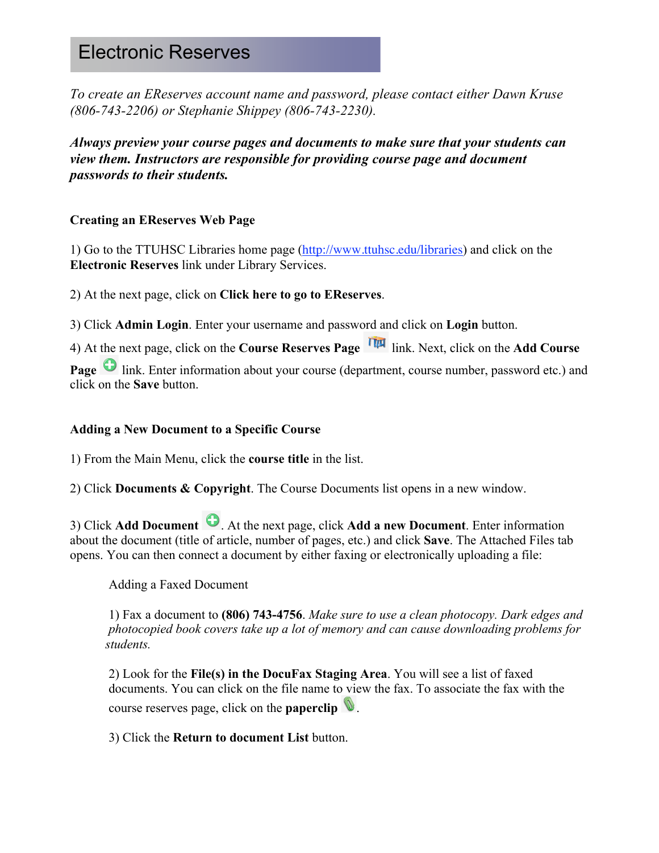## Electronic Reserves

*To create an EReserves account name and password, please contact either Dawn Kruse (806-743-2206) or Stephanie Shippey (806-743-2230).*

*Always preview your course pages and documents to make sure that your students can view them. Instructors are responsible for providing course page and document passwords to their students.* 

#### **Creating an EReserves Web Page**

1) Go to the TTUHSC Libraries home page (http://www.ttuhsc.edu/libraries) and click on the **Electronic Reserves** link under Library Services.

2) At the next page, click on **Click here to go to EReserves**.

3) Click **Admin Login**. Enter your username and password and click on **Login** button.

4) At the next page, click on the **Course Reserves Page** link. Next, click on the **Add Course** 

**Page** link. Enter information about your course (department, course number, password etc.) and click on the **Save** button.

#### **Adding a New Document to a Specific Course**

1) From the Main Menu, click the **course title** in the list.

2) Click **Documents & Copyright**. The Course Documents list opens in a new window.

3) Click **Add Document** . At the next page, click **Add a new Document**. Enter information about the document (title of article, number of pages, etc.) and click **Save**. The Attached Files tab opens. You can then connect a document by either faxing or electronically uploading a file:

Adding a Faxed Document

1) Fax a document to **(806) 743-4756**. *Make sure to use a clean photocopy. Dark edges and photocopied book covers take up a lot of memory and can cause downloading problems for students.*

2) Look for the **File(s) in the DocuFax Staging Area**. You will see a list of faxed documents. You can click on the file name to view the fax. To associate the fax with the course reserves page, click on the **paperclip** .

3) Click the **Return to document List** button.